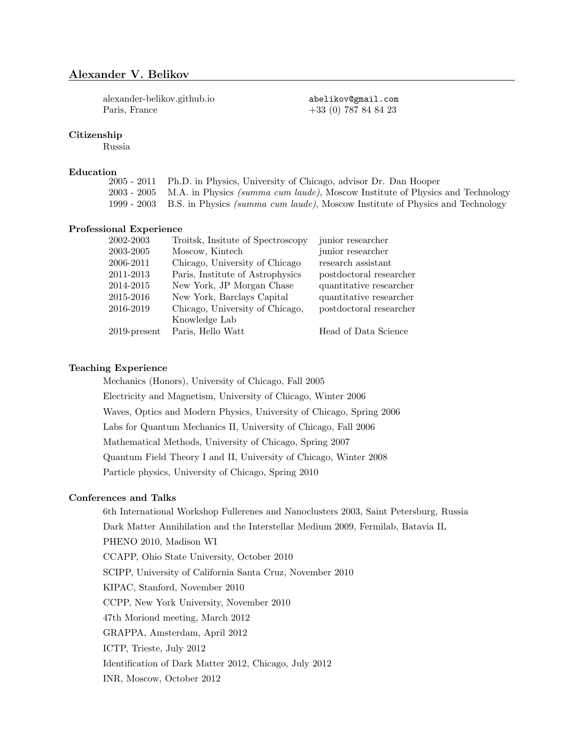# Alexander V. Belikov

[alexander-belikov.github.io](https://alexander-belikov.github.io) abelikov@gmail.com Paris, France +33 (0) 787 84 84 23

## Citizenship

Russia

# $\text{Education} \over 2005$  - 2011

Ph.D. in Physics, University of Chicago, advisor Dr. Dan Hooper 2003 - 2005 M.A. in Physics (summa cum laude), Moscow Institute of Physics and Technology 1999 - 2003 B.S. in Physics (summa cum laude), Moscow Institute of Physics and Technology

### Professional Experience

| 2002-2003       | Troitsk, Insitute of Spectroscopy | junior researcher       |
|-----------------|-----------------------------------|-------------------------|
| 2003-2005       | Moscow, Kintech                   | junior researcher       |
| 2006-2011       | Chicago, University of Chicago    | research assistant      |
| 2011-2013       | Paris, Institute of Astrophysics  | postdoctoral researcher |
| 2014-2015       | New York, JP Morgan Chase         | quantitative researcher |
| 2015-2016       | New York, Barclays Capital        | quantitative researcher |
| 2016-2019       | Chicago, University of Chicago,   | postdoctoral researcher |
|                 | Knowledge Lab                     |                         |
| $2019$ -present | Paris, Hello Watt                 | Head of Data Science    |

# Teaching Experience

Mechanics (Honors), University of Chicago, Fall 2005 Electricity and Magnetism, University of Chicago, Winter 2006 Waves, Optics and Modern Physics, University of Chicago, Spring 2006 Labs for Quantum Mechanics II, University of Chicago, Fall 2006 Mathematical Methods, University of Chicago, Spring 2007 Quantum Field Theory I and II, University of Chicago, Winter 2008 Particle physics, University of Chicago, Spring 2010

#### Conferences and Talks

6th International Workshop Fullerenes and Nanoclusters 2003, Saint Petersburg, Russia Dark Matter Annihilation and the Interstellar Medium 2009, Fermilab, Batavia IL PHENO 2010, Madison WI CCAPP, Ohio State University, October 2010 SCIPP, University of California Santa Cruz, November 2010 KIPAC, Stanford, November 2010 CCPP, New York University, November 2010 47th Moriond meeting, March 2012 GRAPPA, Amsterdam, April 2012 ICTP, Trieste, July 2012 Identification of Dark Matter 2012, Chicago, July 2012 INR, Moscow, October 2012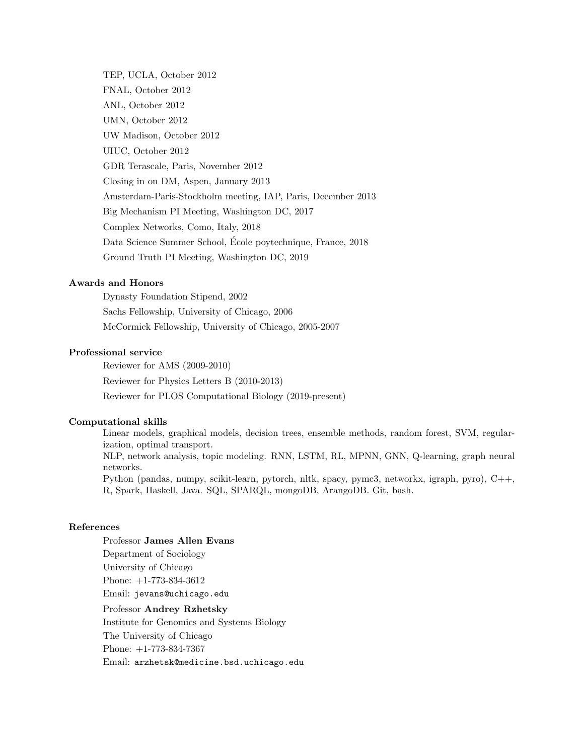TEP, UCLA, October 2012 FNAL, October 2012 ANL, October 2012 UMN, October 2012 UW Madison, October 2012 UIUC, October 2012 GDR Terascale, Paris, November 2012 Closing in on DM, Aspen, January 2013 Amsterdam-Paris-Stockholm meeting, IAP, Paris, December 2013 Big Mechanism PI Meeting, Washington DC, 2017 Complex Networks, Como, Italy, 2018 Data Science Summer School, Ecole poytechnique, France, 2018 ´ Ground Truth PI Meeting, Washington DC, 2019

# Awards and Honors

Dynasty Foundation Stipend, 2002 Sachs Fellowship, University of Chicago, 2006 McCormick Fellowship, University of Chicago, 2005-2007

# Professional service

Reviewer for AMS (2009-2010) Reviewer for Physics Letters B (2010-2013) Reviewer for PLOS Computational Biology (2019-present)

## Computational skills

Linear models, graphical models, decision trees, ensemble methods, random forest, SVM, regularization, optimal transport. NLP, network analysis, topic modeling. RNN, LSTM, RL, MPNN, GNN, Q-learning, graph neural networks. Python (pandas, numpy, scikit-learn, pytorch, nltk, spacy, pymc3, networkx, igraph, pyro), C++, R, Spark, Haskell, Java. SQL, SPARQL, mongoDB, ArangoDB. Git, bash.

## References

Professor James Allen Evans Department of Sociology University of Chicago Phone: +1-773-834-3612 Email: jevans@uchicago.edu Professor Andrey Rzhetsky

Institute for Genomics and Systems Biology The University of Chicago Phone: +1-773-834-7367 Email: arzhetsk@medicine.bsd.uchicago.edu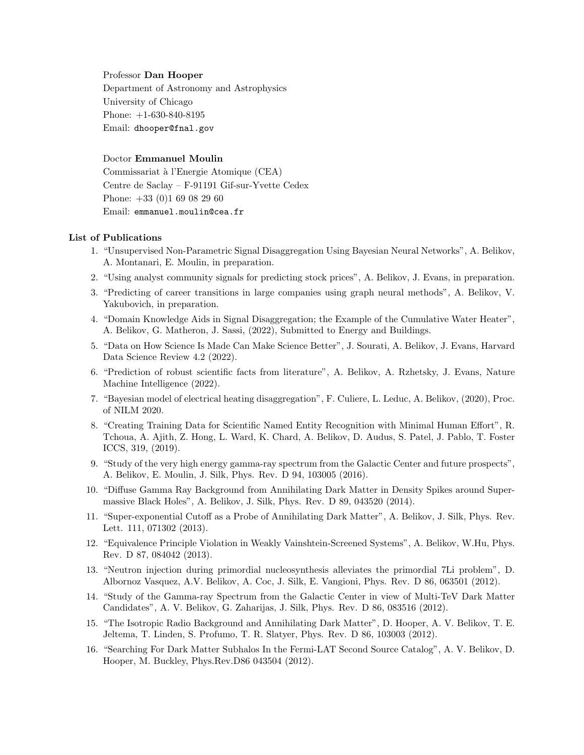#### Professor Dan Hooper

Department of Astronomy and Astrophysics University of Chicago Phone: +1-630-840-8195 Email: dhooper@fnal.gov

## Doctor Emmanuel Moulin

Commissariat `a l'Energie Atomique (CEA) Centre de Saclay – F-91191 Gif-sur-Yvette Cedex Phone: +33 (0)1 69 08 29 60 Email: emmanuel.moulin@cea.fr

## List of Publications

- 1. "Unsupervised Non-Parametric Signal Disaggregation Using Bayesian Neural Networks", A. Belikov, A. Montanari, E. Moulin, in preparation.
- 2. "Using analyst community signals for predicting stock prices", A. Belikov, J. Evans, in preparation.
- 3. "Predicting of career transitions in large companies using graph neural methods", A. Belikov, V. Yakubovich, in preparation.
- 4. "Domain Knowledge Aids in Signal Disaggregation; the Example of the Cumulative Water Heater", A. Belikov, G. Matheron, J. Sassi, (2022), Submitted to Energy and Buildings.
- 5. "Data on How Science Is Made Can Make Science Better", J. Sourati, A. Belikov, J. Evans, Harvard Data Science Review 4.2 (2022).
- 6. "Prediction of robust scientific facts from literature", A. Belikov, A. Rzhetsky, J. Evans, Nature Machine Intelligence (2022).
- 7. "Bayesian model of electrical heating disaggregation", F. Culiere, L. Leduc, A. Belikov, (2020), Proc. of NILM 2020.
- 8. "Creating Training Data for Scientific Named Entity Recognition with Minimal Human Effort", R. Tchoua, A. Ajith, Z. Hong, L. Ward, K. Chard, A. Belikov, D. Audus, S. Patel, J. Pablo, T. Foster ICCS, 319, (2019).
- 9. "Study of the very high energy gamma-ray spectrum from the Galactic Center and future prospects", A. Belikov, E. Moulin, J. Silk, Phys. Rev. D 94, 103005 (2016).
- 10. "Diffuse Gamma Ray Background from Annihilating Dark Matter in Density Spikes around Supermassive Black Holes", A. Belikov, J. Silk, Phys. Rev. D 89, 043520 (2014).
- 11. "Super-exponential Cutoff as a Probe of Annihilating Dark Matter", A. Belikov, J. Silk, Phys. Rev. Lett. 111, 071302 (2013).
- 12. "Equivalence Principle Violation in Weakly Vainshtein-Screened Systems", A. Belikov, W.Hu, Phys. Rev. D 87, 084042 (2013).
- 13. "Neutron injection during primordial nucleosynthesis alleviates the primordial 7Li problem", D. Albornoz Vasquez, A.V. Belikov, A. Coc, J. Silk, E. Vangioni, Phys. Rev. D 86, 063501 (2012).
- 14. "Study of the Gamma-ray Spectrum from the Galactic Center in view of Multi-TeV Dark Matter Candidates", A. V. Belikov, G. Zaharijas, J. Silk, Phys. Rev. D 86, 083516 (2012).
- 15. "The Isotropic Radio Background and Annihilating Dark Matter", D. Hooper, A. V. Belikov, T. E. Jeltema, T. Linden, S. Profumo, T. R. Slatyer, Phys. Rev. D 86, 103003 (2012).
- 16. "Searching For Dark Matter Subhalos In the Fermi-LAT Second Source Catalog", A. V. Belikov, D. Hooper, M. Buckley, Phys.Rev.D86 043504 (2012).